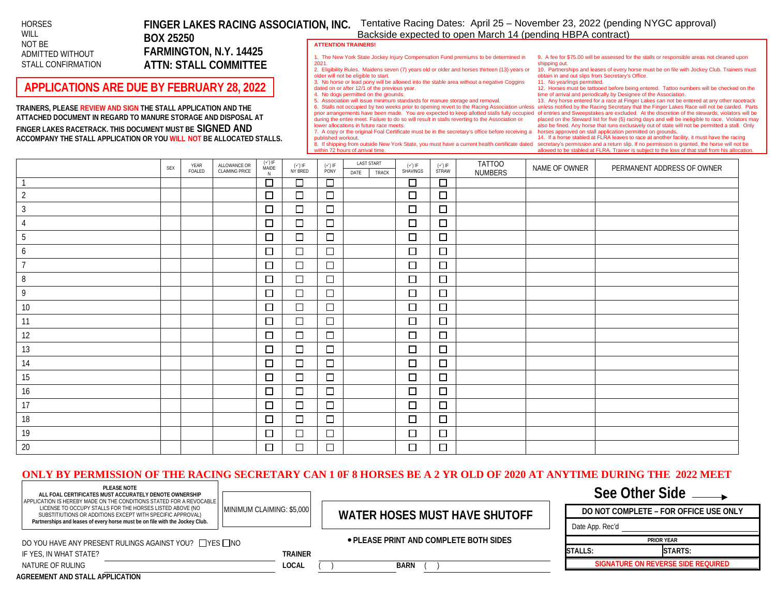### **HORSES** WILL NOT BE ADMITTED WITHOUT STALL CONFIRMATION

## **BOX 25250 FARMINGTON, N.Y. 14425 ATTN: STALL COMMITTEE**

## **APPLICATIONS ARE DUE BY FEBRUARY 28, 2022**

**TRAINERS, PLEASE REVIEW AND SIGN THE STALL APPLICATION AND THE ATTACHED DOCUMENT IN REGARD TO MANURE STORAGE AND DISPOSAL AT FINGER LAKES RACETRACK. THIS DOCUMENT MUST BE SIGNED AND ACCOMPANY THE STALL APPLICATION OR YOU WILL NOT BE ALLOCATED STALLS.**

**FINGER LAKES RACING ASSOCIATION, INC.** Tentative Racing Dates: April 25 – November 23, 2022 (pending NYGC approval) Backside expected to open March 14 (pending HBPA contract)

#### **ATTENTION TRAINERS!**

older will not be eligible to start.

dated on or after 12/1 of the previous year. 4. No dogs permitted on the grounds.

lower allocations in future race meets.

1. The New York State Jockey Injury Compensation Fund premiums to be determined in 2021. 2. Eligibility Rules. Maidens seven (7) years old or older and horses thirteen (13) years or

during the entire meet. Failure to do so will result in stalls reverting to the Association or

5. Association will issue minimum standards for manure storage and removal.

9. A fee for \$75.00 will be assessed for the stalls or responsible areas not cleaned upon shipping out.

10. Partnerships and leases of every horse must be on file with Jockey Club. Trainers must obtain in and out slips from Secretary's Office.

3. No horse or lead pony will be allowed into the stable area without a negative Coggins 11. No yearlings permitted.

12. Horses must be tattooed before being entered. Tattoo numbers will be checked on the time of arrival and periodically by Designee of the Association.

6. Stalls not occupied by two weeks prior to opening revert to the Racing Association unless unless notified by the Racing Secretary that the Finger Lakes Race will not be carded. Parts prior arrangements have been made. You are expected to keep allotted stalls fully occupied of entries and Sweepstakes are excluded. At the discretion of the stewards, violators will be 13. Any horse entered for a race at Finger Lakes can not be entered at any other racetrack placed on the Steward list for five (5) racing days and will be ineligible to race. Violators may also be fined. Any horse that runs exclusively out of state will not be permitted a stall. Only

7. A copy or the original Foal Certificate must be in the secretary's office before receiving a published workout.

8. If shipping from outside New York State, you must have a current health certificate dated within 72 hours of arrival time.

horses approved on stall application permitted on grounds. 14. If a horse stabled at FLRA leaves to race at another facility, it must have the racing secretary's permission and a return slip. If no permission is granted, the horse will not be allowed to be stabled at FLRA. Trainer is subject to the loss of that stall from his allocatio

|                | <b>SEX</b> | YEAR<br>FOALED | ALLOWANCE OR<br><b>CLAIMING PRICE</b> | $(\sqrt{15})$<br>MAIDE<br>N | $(\checkmark)$ if<br>Ny Bred | $(\checkmark)$ IF<br>PONY | <b>LAST START</b><br>TRACK<br>DATE | $(\checkmark)$ if<br>Shavings | $(V)$ IF<br>STRAW | TATT00<br>NUMBERS | NAME OF OWNER | PERMANENT ADDRESS OF OWNER |
|----------------|------------|----------------|---------------------------------------|-----------------------------|------------------------------|---------------------------|------------------------------------|-------------------------------|-------------------|-------------------|---------------|----------------------------|
|                |            |                |                                       | $\Box$                      | $\Box$                       | 百                         |                                    | $\Box$                        | $\Box$            |                   |               |                            |
| $\overline{2}$ |            |                |                                       | $\Box$                      | $\Box$                       | $\Box$                    |                                    | $\Box$                        | $\Box$            |                   |               |                            |
| $\mathfrak{Z}$ |            |                |                                       | $\Box$                      | $\Box$                       | $\Box$                    |                                    | $\Box$                        | $\Box$            |                   |               |                            |
| 4              |            |                |                                       | $\Box$                      | $\Box$                       | $\Box$                    |                                    | $\Box$                        | $\Box$            |                   |               |                            |
| $5\,$          |            |                |                                       | $\Box$                      | $\Box$                       | $\Box$                    |                                    | $\Box$                        | $\Box$            |                   |               |                            |
| 6              |            |                |                                       | $\Box$                      | $\Box$                       | $\Box$                    |                                    | $\Box$                        | $\Box$            |                   |               |                            |
| $\overline{7}$ |            |                |                                       | $\Box$                      | $\Box$                       | $\Box$                    |                                    | $\Box$                        | $\Box$            |                   |               |                            |
| $\, 8$         |            |                |                                       | $\Box$                      | $\Box$                       | $\Box$                    |                                    | $\Box$                        | $\Box$            |                   |               |                            |
| 9              |            |                |                                       | $\Box$                      | $\Box$                       | $\Box$                    |                                    | $\Box$                        | $\Box$            |                   |               |                            |
| 10             |            |                |                                       | $\Box$                      | $\Box$                       | $\Box$                    |                                    | $\Box$                        | $\Box$            |                   |               |                            |
| 11             |            |                |                                       | $\Box$                      | $\Box$                       | $\Box$                    |                                    | $\Box$                        | $\Box$            |                   |               |                            |
| 12             |            |                |                                       | $\Box$                      | $\Box$                       | $\Box$                    |                                    | $\Box$                        | $\Box$            |                   |               |                            |
| 13             |            |                |                                       | $\Box$                      | $\Box$                       | $\Box$                    |                                    | $\Box$                        | $\Box$            |                   |               |                            |
| 14             |            |                |                                       | $\Box$                      | $\Box$                       | $\Box$                    |                                    | $\Box$                        | $\Box$            |                   |               |                            |
| 15             |            |                |                                       | $\Box$                      | □                            | $\Box$                    |                                    | $\Box$                        | $\Box$            |                   |               |                            |
| 16             |            |                |                                       | $\Box$                      | $\Box$                       | $\Box$                    |                                    | □                             | $\Box$            |                   |               |                            |
| 17             |            |                |                                       | $\Box$                      | $\Box$                       | $\Box$                    |                                    | $\Box$                        | $\Box$            |                   |               |                            |
| $18\,$         |            |                |                                       | $\Box$                      | □                            | $\Box$                    |                                    | $\Box$                        | $\Box$            |                   |               |                            |
| 19             |            |                |                                       | $\Box$                      | $\Box$                       | $\Box$                    |                                    | $\Box$                        | $\Box$            |                   |               |                            |
| 20             |            |                |                                       | $\Box$                      | $\Box$                       | $\Box$                    |                                    | $\Box$                        | $\Box$            |                   |               |                            |

### **ONLY BY PERMISSION OF THE RACING SECRETARY CAN 1 0F 8 HORSES BE A 2 YR OLD OF 2020 AT ANYTIME DURING THE 2022 MEET**

**PLEASE NOTE ALL FOAL CERTIFICATES MUST ACCURATELY DENOTE OWNERSHIP**

APPLICATION IS HEREBY MADE ON THE CONDITIONS STATED FOR A REVOCABLE LICENSE TO OCCUPY STALLS FOR THE HORSES LISTED ABOVE (NO SUBSTITIUTIONS OR ADDITIONS EXCEPT WITH SPECIFIC APPROVAL)

**Partnerships and leases of every horse must be on file with the Jockey Club.**

# MINIMUM CLAIMING: \$5,000 **WATER HOSES MUST HAVE SHUTOFF**

### **PLEASE PRINT AND COMPLETE BOTH SIDES**

# **See Other Side DO NOT COMPLETE – FOR OFFICE USE ONLY**

**PRIOR YEAR**

**SIGNATURE ON REVERSE SIDE REQUIRED**

**STALLS: STARTS:** 

Date App. Rec'd

| DO YOU HAVE ANY PRESENT RULINGS AGAINST YOU? ΠΥΕS ΠΝΟ |  |
|-------------------------------------------------------|--|
| IF YES. IN WHAT STATE?                                |  |

**TRAINER** 

**LOCAL** ( ) **BARN** ( )

**AGREEMENT AND STALL APPLICATION**

NATURE OF RULING